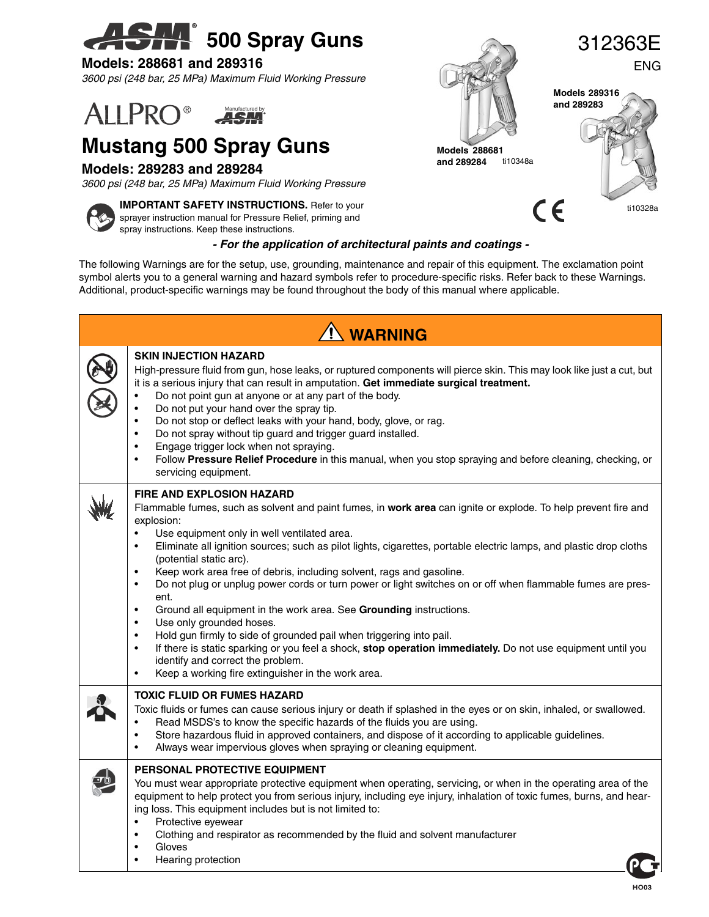# **500 Spray Guns**

#### **Models: 288681 and 289316**

*3600 psi (248 bar, 25 MPa) Maximum Fluid Working Pressure*

#### **ALLPRO® ASM**

## **Mustang 500 Spray Guns**

#### **Models: 289283 and 289284**

*3600 psi (248 bar, 25 MPa) Maximum Fluid Working Pressure*



**IMPORTANT SAFETY INSTRUCTIONS.** Refer to your sprayer instruction manual for Pressure Relief, priming and spray instructions. Keep these instructions.

#### *- For the application of architectural paints and coatings -*

The following Warnings are for the setup, use, grounding, maintenance and repair of this equipment. The exclamation point symbol alerts you to a general warning and hazard symbols refer to procedure-specific risks. Refer back to these Warnings. Additional, product-specific warnings may be found throughout the body of this manual where applicable.

| <b>N</b> WARNING |                                                                                                                                                                                                                                                                                                                                                                                                                                                                                                                                                                                                                                                                                                                                                                                                                                                                                                                                                                                                                                                   |  |  |  |
|------------------|---------------------------------------------------------------------------------------------------------------------------------------------------------------------------------------------------------------------------------------------------------------------------------------------------------------------------------------------------------------------------------------------------------------------------------------------------------------------------------------------------------------------------------------------------------------------------------------------------------------------------------------------------------------------------------------------------------------------------------------------------------------------------------------------------------------------------------------------------------------------------------------------------------------------------------------------------------------------------------------------------------------------------------------------------|--|--|--|
|                  | <b>SKIN INJECTION HAZARD</b><br>High-pressure fluid from gun, hose leaks, or ruptured components will pierce skin. This may look like just a cut, but<br>it is a serious injury that can result in amputation. Get immediate surgical treatment.<br>Do not point gun at anyone or at any part of the body.<br>Do not put your hand over the spray tip.<br>Do not stop or deflect leaks with your hand, body, glove, or rag.<br>$\bullet$<br>Do not spray without tip guard and trigger guard installed.<br>$\bullet$<br>Engage trigger lock when not spraying.<br>Follow Pressure Relief Procedure in this manual, when you stop spraying and before cleaning, checking, or<br>$\bullet$<br>servicing equipment.                                                                                                                                                                                                                                                                                                                                  |  |  |  |
|                  | <b>FIRE AND EXPLOSION HAZARD</b><br>Flammable fumes, such as solvent and paint fumes, in work area can ignite or explode. To help prevent fire and<br>explosion:<br>Use equipment only in well ventilated area.<br>$\bullet$<br>Eliminate all ignition sources; such as pilot lights, cigarettes, portable electric lamps, and plastic drop cloths<br>$\bullet$<br>(potential static arc).<br>Keep work area free of debris, including solvent, rags and gasoline.<br>$\bullet$<br>Do not plug or unplug power cords or turn power or light switches on or off when flammable fumes are pres-<br>$\bullet$<br>ent.<br>Ground all equipment in the work area. See Grounding instructions.<br>Use only grounded hoses.<br>$\bullet$<br>Hold gun firmly to side of grounded pail when triggering into pail.<br>$\bullet$<br>If there is static sparking or you feel a shock, stop operation immediately. Do not use equipment until you<br>٠<br>identify and correct the problem.<br>Keep a working fire extinguisher in the work area.<br>$\bullet$ |  |  |  |
|                  | <b>TOXIC FLUID OR FUMES HAZARD</b><br>Toxic fluids or fumes can cause serious injury or death if splashed in the eyes or on skin, inhaled, or swallowed.<br>Read MSDS's to know the specific hazards of the fluids you are using.<br>Store hazardous fluid in approved containers, and dispose of it according to applicable guidelines.<br>$\bullet$<br>Always wear impervious gloves when spraying or cleaning equipment.<br>$\bullet$                                                                                                                                                                                                                                                                                                                                                                                                                                                                                                                                                                                                          |  |  |  |
|                  | PERSONAL PROTECTIVE EQUIPMENT<br>You must wear appropriate protective equipment when operating, servicing, or when in the operating area of the<br>equipment to help protect you from serious injury, including eye injury, inhalation of toxic fumes, burns, and hear-<br>ing loss. This equipment includes but is not limited to:<br>Protective eyewear<br>$\bullet$<br>Clothing and respirator as recommended by the fluid and solvent manufacturer<br>٠<br>Gloves<br>$\bullet$<br>Hearing protection<br>$\bullet$                                                                                                                                                                                                                                                                                                                                                                                                                                                                                                                             |  |  |  |



**and 289284**

ti10348a

CE



ti10328a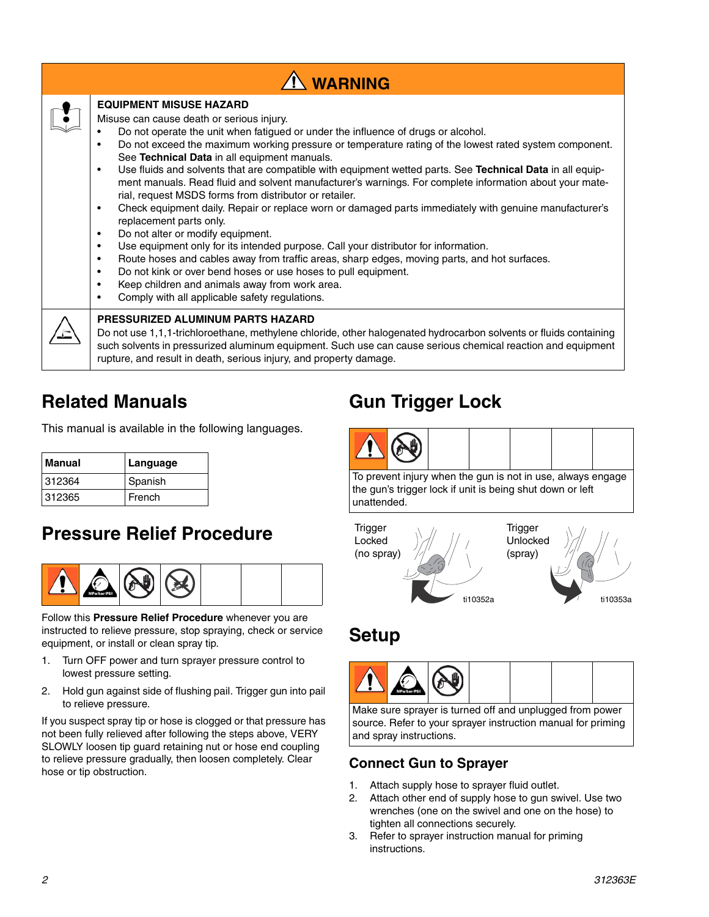| <b>N</b> WARNING |                                                                                                                                                                                                                                                                                                                                                                                                                                                                                                                                                                                                                                                                                                                                                                                                                                                                                                                                                                                                                                                                                                                                                                                                                                                                          |  |  |  |  |
|------------------|--------------------------------------------------------------------------------------------------------------------------------------------------------------------------------------------------------------------------------------------------------------------------------------------------------------------------------------------------------------------------------------------------------------------------------------------------------------------------------------------------------------------------------------------------------------------------------------------------------------------------------------------------------------------------------------------------------------------------------------------------------------------------------------------------------------------------------------------------------------------------------------------------------------------------------------------------------------------------------------------------------------------------------------------------------------------------------------------------------------------------------------------------------------------------------------------------------------------------------------------------------------------------|--|--|--|--|
|                  | <b>EQUIPMENT MISUSE HAZARD</b><br>Misuse can cause death or serious injury.<br>Do not operate the unit when fatigued or under the influence of drugs or alcohol.<br>Do not exceed the maximum working pressure or temperature rating of the lowest rated system component.<br>$\bullet$<br>See Technical Data in all equipment manuals.<br>Use fluids and solvents that are compatible with equipment wetted parts. See Technical Data in all equip-<br>$\bullet$<br>ment manuals. Read fluid and solvent manufacturer's warnings. For complete information about your mate-<br>rial, request MSDS forms from distributor or retailer.<br>Check equipment daily. Repair or replace worn or damaged parts immediately with genuine manufacturer's<br>$\bullet$<br>replacement parts only.<br>Do not alter or modify equipment.<br>$\bullet$<br>Use equipment only for its intended purpose. Call your distributor for information.<br>$\bullet$<br>Route hoses and cables away from traffic areas, sharp edges, moving parts, and hot surfaces.<br>$\bullet$<br>Do not kink or over bend hoses or use hoses to pull equipment.<br>$\bullet$<br>Keep children and animals away from work area.<br>$\bullet$<br>Comply with all applicable safety regulations.<br>$\bullet$ |  |  |  |  |
|                  | <b>PRESSURIZED ALUMINUM PARTS HAZARD</b><br>Do not use 1,1,1-trichloroethane, methylene chloride, other halogenated hydrocarbon solvents or fluids containing<br>such solvents in pressurized aluminum equipment. Such use can cause serious chemical reaction and equipment<br>rupture, and result in death, serious injury, and property damage.                                                                                                                                                                                                                                                                                                                                                                                                                                                                                                                                                                                                                                                                                                                                                                                                                                                                                                                       |  |  |  |  |

### **Related Manuals**

This manual is available in the following languages.

| Manual | Language |
|--------|----------|
| 312364 | Spanish  |
| 312365 | French   |

### **Pressure Relief Procedure**



Follow this **Pressure Relief Procedure** whenever you are instructed to relieve pressure, stop spraying, check or service equipment, or install or clean spray tip.

- 1. Turn OFF power and turn sprayer pressure control to lowest pressure setting.
- 2. Hold gun against side of flushing pail. Trigger gun into pail to relieve pressure.

If you suspect spray tip or hose is clogged or that pressure has not been fully relieved after following the steps above, VERY SLOWLY loosen tip guard retaining nut or hose end coupling to relieve pressure gradually, then loosen completely. Clear hose or tip obstruction.

### **Gun Trigger Lock**



To prevent injury when the gun is not in use, always engage the gun's trigger lock if unit is being shut down or left unattended.



### **Setup**



Make sure sprayer is turned off and unplugged from power source. Refer to your sprayer instruction manual for priming and spray instructions.

### **Connect Gun to Sprayer**

- 1. Attach supply hose to sprayer fluid outlet.
- 2. Attach other end of supply hose to gun swivel. Use two wrenches (one on the swivel and one on the hose) to tighten all connections securely.
- 3. Refer to sprayer instruction manual for priming instructions.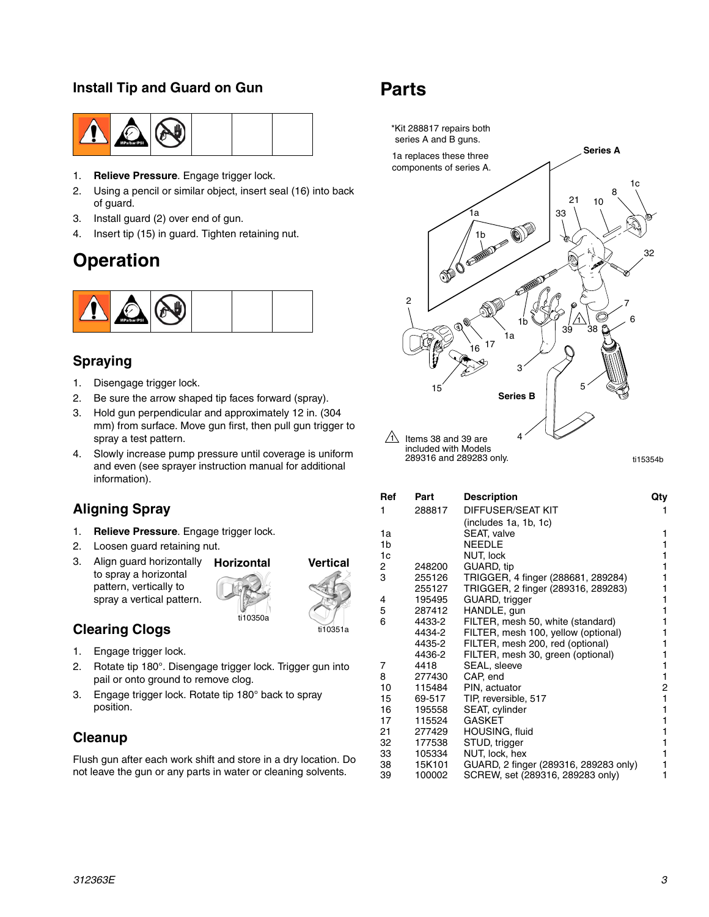### **Install Tip and Guard on Gun**



- 1. **Relieve Pressure**. Engage trigger lock.
- 2. Using a pencil or similar object, insert seal (16) into back of guard.
- 3. Install guard (2) over end of gun.
- 4. Insert tip (15) in guard. Tighten retaining nut.

### **Operation**



#### **Spraying**

- 1. Disengage trigger lock.
- 2. Be sure the arrow shaped tip faces forward (spray).
- 3. Hold gun perpendicular and approximately 12 in. (304 mm) from surface. Move gun first, then pull gun trigger to spray a test pattern.
- 4. Slowly increase pump pressure until coverage is uniform and even (see sprayer instruction manual for additional information).

### **Aligning Spray**

- 1. **Relieve Pressure**. Engage trigger lock.
- 2. Loosen guard retaining nut.
- 3. Align guard horizontally to spray a horizontal pattern, vertically to spray a vertical pattern.



### **Clearing Clogs**

- 1. Engage trigger lock.
- 2. Rotate tip 180°. Disengage trigger lock. Trigger gun into pail or onto ground to remove clog.
- 3. Engage trigger lock. Rotate tip 180° back to spray position.

### **Cleanup**

Flush gun after each work shift and store in a dry location. Do not leave the gun or any parts in water or cleaning solvents.

### **Parts**



| Ref | Part   | <b>Description</b>                    | Qty |
|-----|--------|---------------------------------------|-----|
| 1   | 288817 | DIFFUSER/SEAT KIT                     |     |
|     |        | (includes 1a, 1b, 1c)                 |     |
| 1a  |        | SEAT, valve                           | 1   |
| 1b  |        | <b>NEEDLE</b>                         | 1   |
| 1c  |        | NUT, lock                             |     |
| 2   | 248200 | GUARD, tip                            |     |
| 3   | 255126 | TRIGGER, 4 finger (288681, 289284)    |     |
|     | 255127 | TRIGGER, 2 finger (289316, 289283)    |     |
| 4   | 195495 | GUARD, trigger                        |     |
| 5   | 287412 | HANDLE, gun                           |     |
| 6   | 4433-2 | FILTER, mesh 50, white (standard)     |     |
|     | 4434-2 | FILTER, mesh 100, yellow (optional)   |     |
|     | 4435-2 | FILTER, mesh 200, red (optional)      |     |
|     | 4436-2 | FILTER, mesh 30, green (optional)     |     |
| 7   | 4418   | SEAL, sleeve                          |     |
| 8   | 277430 | CAP, end                              | 1   |
| 10  | 115484 | PIN, actuator                         | 2   |
| 15  | 69-517 | TIP, reversible, 517                  | 1   |
| 16  | 195558 | SEAT, cylinder                        |     |
| 17  | 115524 | <b>GASKET</b>                         |     |
| 21  | 277429 | HOUSING, fluid                        |     |
| 32  | 177538 | STUD, trigger                         |     |
| 33  | 105334 | NUT, lock, hex                        | 1   |
| 38  | 15K101 | GUARD, 2 finger (289316, 289283 only) | 1   |
| 39  | 100002 | SCREW, set (289316, 289283 only)      |     |